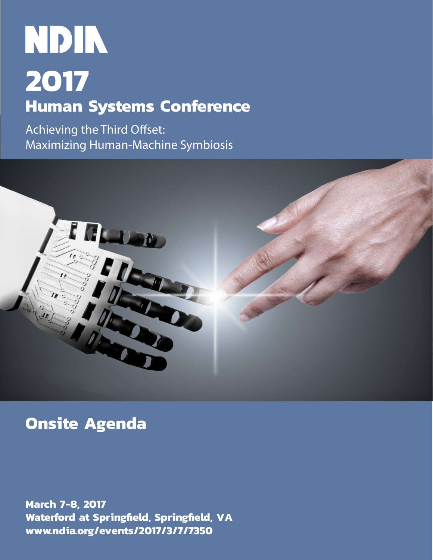# NDIN **2017 Human Systems Conference**

Achieving the Third Offset: Maximizing Human-Machine Symbiosis



# **Onsite Agenda**

**March 7-8, 2017 Waterford at Springfield, Springfield, VA www.ndia.org/events/2017/3/7/7350**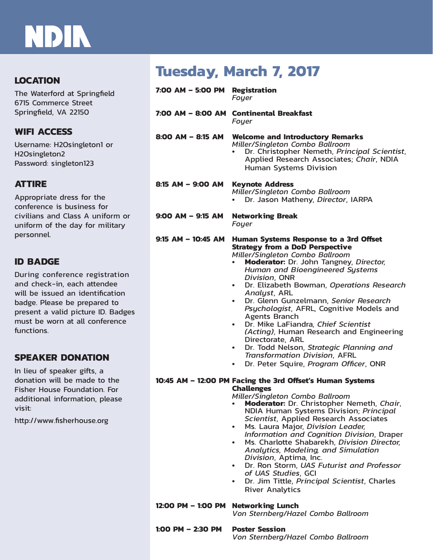# **NDIN**

### **LOCATION**

The Waterford at Springfield 6715 Commerce Street Springfield, VA 22150

### **WIFI ACCESS**

Username: H2Osingleton1 or H2Osingleton2 Password: singleton123

## **ATTIRE**

Appropriate dress for the conference is business for civilians and Class A uniform or uniform of the day for military personnel.

## **ID BADGE**

During conference registration and check-in, each attendee will be issued an identification badge. Please be prepared to present a valid picture ID. Badges must be worn at all conference functions.

### **SPEAKER DONATION**

In lieu of speaker gifts, a donation will be made to the Fisher House Foundation. For additional information, please visit:

http://www.fisherhouse.org

# **Tuesday, March 7, 2017**

| 7:00 AM - 5:00 PM Registration      | Fouer                                                                                                                                                                                                                                                                                                                                                                                                                                                                                                                                                                                                                                                                                                                                                                                                                                                                                                                                                                                                                                                                                                                                                                                                                                                                                                                                  |
|-------------------------------------|----------------------------------------------------------------------------------------------------------------------------------------------------------------------------------------------------------------------------------------------------------------------------------------------------------------------------------------------------------------------------------------------------------------------------------------------------------------------------------------------------------------------------------------------------------------------------------------------------------------------------------------------------------------------------------------------------------------------------------------------------------------------------------------------------------------------------------------------------------------------------------------------------------------------------------------------------------------------------------------------------------------------------------------------------------------------------------------------------------------------------------------------------------------------------------------------------------------------------------------------------------------------------------------------------------------------------------------|
|                                     | 7:00 AM - 8:00 AM Continental Breakfast<br>Foyer                                                                                                                                                                                                                                                                                                                                                                                                                                                                                                                                                                                                                                                                                                                                                                                                                                                                                                                                                                                                                                                                                                                                                                                                                                                                                       |
| $8:00$ AM $-$ 8:15 AM               | <b>Welcome and Introductory Remarks</b><br>Miller/Singleton Combo Ballroom<br>Dr. Christopher Nemeth, Principal Scientist,<br>Applied Research Associates; Chair, NDIA<br><b>Human Systems Division</b>                                                                                                                                                                                                                                                                                                                                                                                                                                                                                                                                                                                                                                                                                                                                                                                                                                                                                                                                                                                                                                                                                                                                |
| 8:15 AM - 9:00 AM                   | <b>Keynote Address</b><br>Miller/Singleton Combo Ballroom<br>Dr. Jason Matheny, Director, IARPA                                                                                                                                                                                                                                                                                                                                                                                                                                                                                                                                                                                                                                                                                                                                                                                                                                                                                                                                                                                                                                                                                                                                                                                                                                        |
| 9:00 AM - 9:15 AM                   | <b>Networking Break</b><br>Foyer                                                                                                                                                                                                                                                                                                                                                                                                                                                                                                                                                                                                                                                                                                                                                                                                                                                                                                                                                                                                                                                                                                                                                                                                                                                                                                       |
| $9:15$ AM - 10:45 AM                | Human Systems Response to a 3rd Offset<br><b>Strategy from a DoD Perspective</b><br>Miller/Singleton Combo Ballroom<br>Moderator: Dr. John Tangney, Director,<br>Human and Bioengineered Systems<br>Division, ONR<br>Dr. Elizabeth Bowman, Operations Research<br>$\bullet$<br>Analyst, ARL<br>Dr. Glenn Gunzelmann, Senior Research<br>$\bullet$<br>Psychologist, AFRL, Cognitive Models and<br><b>Agents Branch</b><br>Dr. Mike LaFiandra, Chief Scientist<br>$\bullet$<br>(Acting), Human Research and Engineering<br>Directorate, ARL<br>Dr. Todd Nelson, Strategic Planning and<br>$\bullet$<br><b>Transformation Division, AFRL</b><br>Dr. Peter Squire, Program Officer, ONR<br>$\bullet$<br>10:45 AM - 12:00 PM Facing the 3rd Offset's Human Systems<br><b>Challenges</b><br>Miller/Singleton Combo Ballroom<br>Moderator: Dr. Christopher Nemeth, Chair,<br>٠<br>NDIA Human Systems Division; Principal<br>Scientist, Applied Research Associates<br>Ms. Laura Major, Division Leader,<br>Information and Cognition Division, Draper<br>Ms. Charlotte Shabarekh, Division Director,<br>$\bullet$<br>Analytics, Modeling, and Simulation<br>Division, Aptima, Inc.<br>Dr. Ron Storm, UAS Futurist and Professor<br>of UAS Studies, GCI<br>Dr. Jim Tittle, Principal Scientist, Charles<br>$\bullet$<br><b>River Analytics</b> |
| 12:00 PM - 1:00 PM Networking Lunch | Von Sternberg/Hazel Combo Ballroom                                                                                                                                                                                                                                                                                                                                                                                                                                                                                                                                                                                                                                                                                                                                                                                                                                                                                                                                                                                                                                                                                                                                                                                                                                                                                                     |
| 1:00 PM $-$ 2:30 PM                 | <b>Poster Session</b><br>Von Sternberg/Hazel Combo Ballroom                                                                                                                                                                                                                                                                                                                                                                                                                                                                                                                                                                                                                                                                                                                                                                                                                                                                                                                                                                                                                                                                                                                                                                                                                                                                            |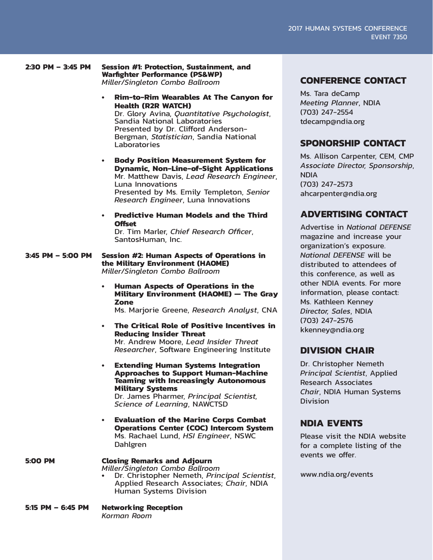**2:30 PM – 3:45 PM Session #1: Protection, Sustainment, and Warfighter Performance (PS&WP)** *Miller/Singleton Combo Ballroom*

- **• Rim-to-Rim Wearables At The Canyon for Health (R2R WATCH)** Dr. Glory Avina, *Quantitative Psychologist*, Sandia National Laboratories Presented by Dr. Clifford Anderson-Bergman, *Statistician*, Sandia National **Laboratories**
- **• Body Position Measurement System for Dynamic, Non-Line-of-Sight Applications** Mr. Matthew Davis, *Lead Research Engineer*, Luna Innovations Presented by Ms. Emily Templeton, *Senior Research Engineer*, Luna Innovations
- **• Predictive Human Models and the Third Offset**

Dr. Tim Marler, *Chief Research Officer*, SantosHuman, Inc.

**3:45 PM – 5:00 PM Session #2: Human Aspects of Operations in the Military Environment (HAOME)** *Miller/Singleton Combo Ballroom*

> **• Human Aspects of Operations in the Military Environment (HAOME) — The Gray Zone**

Ms. Marjorie Greene, *Research Analyst*, CNA

- **• The Critical Role of Positive Incentives in Reducing Insider Threat** Mr. Andrew Moore, *Lead Insider Threat Researcher*, Software Engineering Institute
- **• Extending Human Systems Integration Approaches to Support Human-Machine Teaming with Increasingly Autonomous Military Systems** Dr. James Pharmer, *Principal Scientist, Science of Learning*, NAWCTSD
- **• Evaluation of the Marine Corps Combat Operations Center (COC) Intercom System** Ms. Rachael Lund, *HSI Engineer*, NSWC Dahlgren

#### **5:00 PM Closing Remarks and Adjourn** *Miller/Singleton Combo Ballroom*

- **•** Dr. Christopher Nemeth, *Principal Scientist*, Applied Research Associates; *Chair*, NDIA Human Systems Division
- **5:15 PM 6:45 PM Networking Reception** *Korman Room*

#### **CONFERENCE CONTACT**

Ms. Tara deCamp *Meeting Planner*, NDIA (703) 247-2554 tdecamp@ndia.org

### **SPONORSHIP CONTACT**

Ms. Allison Carpenter, CEM, CMP *Associate Director, Sponsorship*, **NDIA** (703) 247-2573 ahcarpenter@ndia.org

## **ADVERTISING CONTACT**

Advertise in *National DEFENSE* magazine and increase your organization's exposure. *National DEFENSE* will be distributed to attendees of this conference, as well as other NDIA events. For more information, please contact: Ms. Kathleen Kenney *Director, Sales*, NDIA (703) 247-2576 kkenney@ndia.org

#### **DIVISION CHAIR**

Dr. Christopher Nemeth *Principal Scientist*, Applied Research Associates *Chair*, NDIA Human Systems Division

#### **NDIA EVENTS**

Please visit the NDIA website for a complete listing of the events we offer.

www.ndia.org/events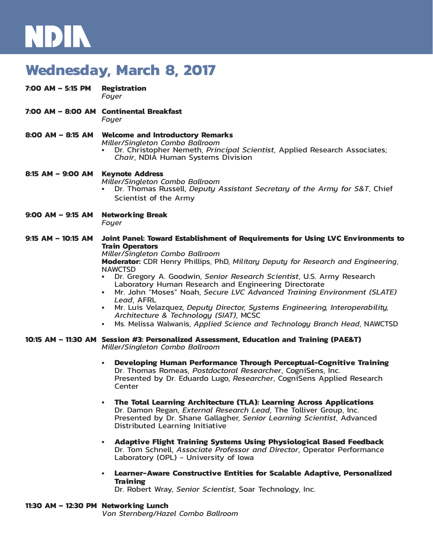# NDIN

# **Wednesday, March 8, 2017**

| $7:00$ AM - 5:15 PM   | <b>Registration</b><br>Foyer                                                                                                                                                                                                                                                                                                                                                                                                                                                                                                                                                                                                                                                                                                                                                                                                                                                                                      |
|-----------------------|-------------------------------------------------------------------------------------------------------------------------------------------------------------------------------------------------------------------------------------------------------------------------------------------------------------------------------------------------------------------------------------------------------------------------------------------------------------------------------------------------------------------------------------------------------------------------------------------------------------------------------------------------------------------------------------------------------------------------------------------------------------------------------------------------------------------------------------------------------------------------------------------------------------------|
|                       | 7:00 AM - 8:00 AM Continental Breakfast<br>Foyer                                                                                                                                                                                                                                                                                                                                                                                                                                                                                                                                                                                                                                                                                                                                                                                                                                                                  |
| 8:00 AM – 8:15 AM     | <b>Welcome and Introductory Remarks</b><br>Miller/Singleton Combo Ballroom<br>Dr. Christopher Nemeth, Principal Scientist, Applied Research Associates;<br>Chair, NDIA Human Systems Division                                                                                                                                                                                                                                                                                                                                                                                                                                                                                                                                                                                                                                                                                                                     |
| 8:15 AM - 9:00 AM     | <b>Keynote Address</b><br>Miller/Singleton Combo Ballroom<br>Dr. Thomas Russell, Deputy Assistant Secretary of the Army for S&T, Chief<br>Scientist of the Army                                                                                                                                                                                                                                                                                                                                                                                                                                                                                                                                                                                                                                                                                                                                                   |
| $9:00$ AM – $9:15$ AM | <b>Networking Break</b><br>Foyer                                                                                                                                                                                                                                                                                                                                                                                                                                                                                                                                                                                                                                                                                                                                                                                                                                                                                  |
| $9:15$ AM - 10:15 AM  | Joint Panel: Toward Establishment of Requirements for Using LVC Environments to<br><b>Train Operators</b><br>Miller/Singleton Combo Ballroom<br>Moderator: CDR Henry Phillips, PhD, Military Deputy for Research and Engineering,<br><b>NAWCTSD</b><br>Dr. Gregory A. Goodwin, Senior Research Scientist, U.S. Army Research<br>Laboratory Human Research and Engineering Directorate<br>• Mr. John "Moses" Noah, Secure LVC Advanced Training Environment (SLATE)<br>Lead, AFRL<br>Mr. Luis Velazquez, Deputy Director, Systems Engineering, Interoperability,<br>Architecture & Technology (SIAT), MCSC<br>Ms. Melissa Walwanis, Applied Science and Technology Branch Head, NAWCTSD                                                                                                                                                                                                                            |
|                       | 10:15 AM – 11:30 AM Session #3: Personalized Assessment, Education and Training (PAE&T)<br>Miller/Singleton Combo Ballroom<br><b>Developing Human Performance Through Perceptual-Cognitive Training</b><br>Dr. Thomas Romeas, Postdoctoral Researcher, CogniSens, Inc.<br>Presented by Dr. Eduardo Lugo, Researcher, CogniSens Applied Research<br>Center<br>The Total Learning Architecture (TLA): Learning Across Applications<br>Dr. Damon Regan, External Research Lead, The Tolliver Group, Inc.<br>Presented by Dr. Shane Gallagher, Senior Learning Scientist, Advanced<br><b>Distributed Learning Initiative</b><br>Adaptive Flight Training Systems Using Physiological Based Feedback<br>Dr. Tom Schnell, Associate Professor and Director, Operator Performance<br>Laboratory (OPL) - University of Iowa<br>Learner-Aware Constructive Entities for Scalable Adaptive, Personalized<br><b>Training</b> |

Dr. Robert Wray, *Senior Scientist*, Soar Technology, Inc.

#### **11:30 AM – 12:30 PM Networking Lunch**

*Von Sternberg/Hazel Combo Ballroom*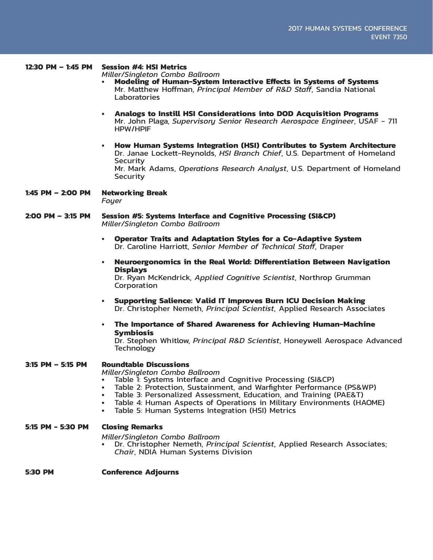#### **12:30 PM – 1:45 PM Session #4: HSI Metrics**

*Miller/Singleton Combo Ballroom*

- **• Modeling of Human-System Interactive Effects in Systems of Systems** Mr. Matthew Hoffman, *Principal Member of R&D Staff*, Sandia National Laboratories
- **• Analogs to Instill HSI Considerations into DOD Acquisition Programs** Mr. John Plaga, *Supervisory Senior Research Aerospace Engineer*, USAF - 711 HPW/HPIF
- **• How Human Systems Integration (HSI) Contributes to System Architecture** Dr. Janae Lockett-Reynolds, *HSI Branch Chief*, U.S. Department of Homeland Security Mr. Mark Adams, *Operations Research Analyst*, U.S. Department of Homeland **Security**
- **1:45 PM 2:00 PM Networking Break** *Foyer*
- **2:00 PM 3:15 PM Session #5: Systems Interface and Cognitive Processing (SI&CP)** *Miller/Singleton Combo Ballroom*
	- **• Operator Traits and Adaptation Styles for a Co-Adaptive System** Dr. Caroline Harriott, *Senior Member of Technical Staff*, Draper
	- **• Neuroergonomics in the Real World: Differentiation Between Navigation Displays**

Dr. Ryan McKendrick, *Applied Cognitive Scientist*, Northrop Grumman **Corporation** 

- **• Supporting Salience: Valid IT Improves Burn ICU Decision Making** Dr. Christopher Nemeth, *Principal Scientist*, Applied Research Associates
- **• The Importance of Shared Awareness for Achieving Human-Machine Symbiosis**

Dr. Stephen Whitlow, *Principal R&D Scientist*, Honeywell Aerospace Advanced Technology

**3:15 PM – 5:15 PM Roundtable Discussions**

- *Miller/Singleton Combo Ballroom*
- Table 2: Protection, Sustainment, and Warfighter Performance (PS&WP)<br>Table 3: Personalized Assessment, Education, and Training (PAE&T)
- 
- Table 4: Human Aspects of Operations in Military Environments (HAOME)
- **•** Table 5: Human Systems Integration (HSI) Metrics

#### **5:15 PM - 5:30 PM Closing Remarks**

*Miller/Singleton Combo Ballroom*

**•** Dr. Christopher Nemeth, *Principal Scientist*, Applied Research Associates; *Chair*, NDIA Human Systems Division

#### **5:30 PM Conference Adjourns**